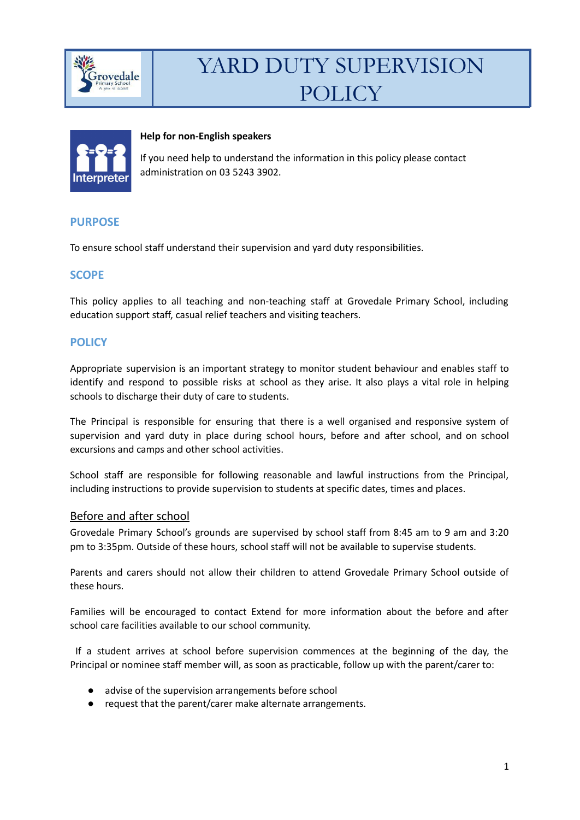



#### **Help for non-English speakers**

If you need help to understand the information in this policy please contact administration on 03 5243 3902.

## **PURPOSE**

To ensure school staff understand their supervision and yard duty responsibilities.

## **SCOPE**

This policy applies to all teaching and non-teaching staff at Grovedale Primary School, including education support staff, casual relief teachers and visiting teachers.

## **POLICY**

Appropriate supervision is an important strategy to monitor student behaviour and enables staff to identify and respond to possible risks at school as they arise. It also plays a vital role in helping schools to discharge their duty of care to students.

The Principal is responsible for ensuring that there is a well organised and responsive system of supervision and yard duty in place during school hours, before and after school, and on school excursions and camps and other school activities.

School staff are responsible for following reasonable and lawful instructions from the Principal, including instructions to provide supervision to students at specific dates, times and places.

### Before and after school

Grovedale Primary School's grounds are supervised by school staff from 8:45 am to 9 am and 3:20 pm to 3:35pm. Outside of these hours, school staff will not be available to supervise students.

Parents and carers should not allow their children to attend Grovedale Primary School outside of these hours.

Families will be encouraged to contact Extend for more information about the before and after school care facilities available to our school community.

If a student arrives at school before supervision commences at the beginning of the day, the Principal or nominee staff member will, as soon as practicable, follow up with the parent/carer to:

- advise of the supervision arrangements before school
- request that the parent/carer make alternate arrangements.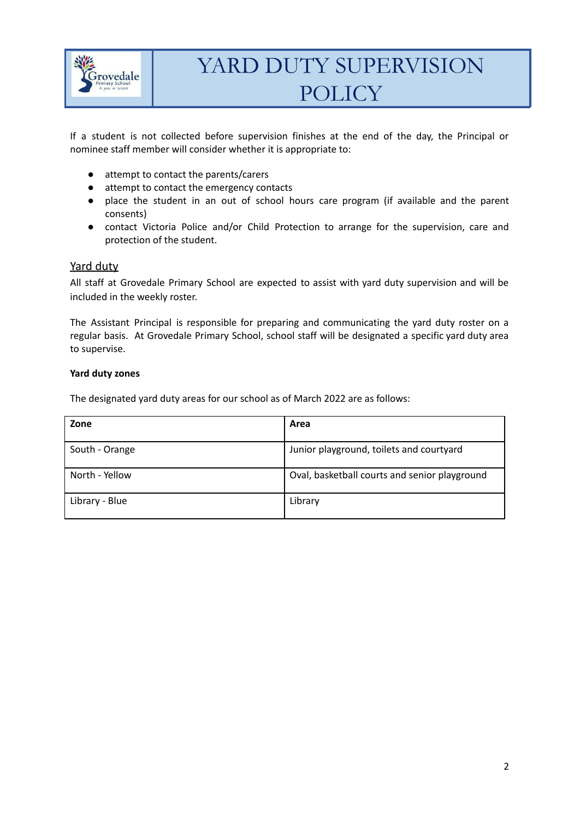

If a student is not collected before supervision finishes at the end of the day, the Principal or nominee staff member will consider whether it is appropriate to:

- attempt to contact the parents/carers
- attempt to contact the emergency contacts
- place the student in an out of school hours care program (if available and the parent consents)
- contact Victoria Police and/or Child Protection to arrange for the supervision, care and protection of the student.

#### Yard duty

All staff at Grovedale Primary School are expected to assist with yard duty supervision and will be included in the weekly roster.

The Assistant Principal is responsible for preparing and communicating the yard duty roster on a regular basis. At Grovedale Primary School, school staff will be designated a specific yard duty area to supervise.

#### **Yard duty zones**

The designated yard duty areas for our school as of March 2022 are as follows:

| Zone           | Area                                          |
|----------------|-----------------------------------------------|
| South - Orange | Junior playground, toilets and courtyard      |
| North - Yellow | Oval, basketball courts and senior playground |
| Library - Blue | Library                                       |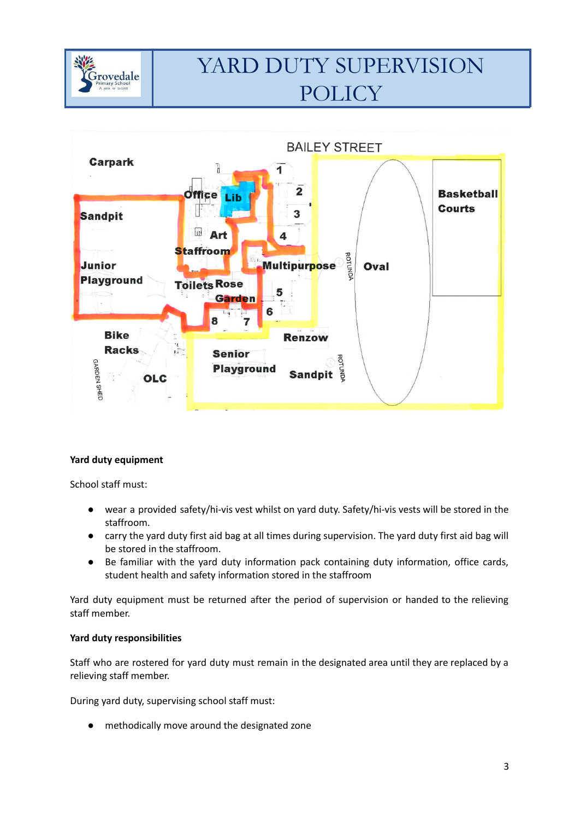



### **Yard duty equipment**

School staff must:

- wear a provided safety/hi-vis vest whilst on yard duty. Safety/hi-vis vests will be stored in the staffroom.
- carry the yard duty first aid bag at all times during supervision. The yard duty first aid bag will be stored in the staffroom.
- Be familiar with the yard duty information pack containing duty information, office cards, student health and safety information stored in the staffroom

Yard duty equipment must be returned after the period of supervision or handed to the relieving staff member.

#### **Yard duty responsibilities**

Staff who are rostered for yard duty must remain in the designated area until they are replaced by a relieving staff member.

During yard duty, supervising school staff must:

● methodically move around the designated zone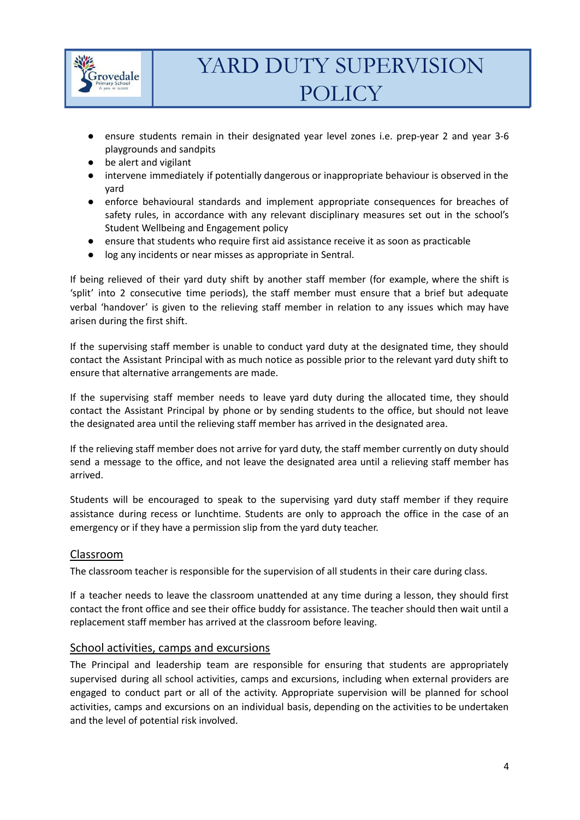

- ensure students remain in their designated year level zones i.e. prep-year 2 and year 3-6 playgrounds and sandpits
- be alert and vigilant
- intervene immediately if potentially dangerous or inappropriate behaviour is observed in the yard
- enforce behavioural standards and implement appropriate consequences for breaches of safety rules, in accordance with any relevant disciplinary measures set out in the school's Student Wellbeing and Engagement policy
- ensure that students who require first aid assistance receive it as soon as practicable
- log any incidents or near misses as appropriate in Sentral.

If being relieved of their yard duty shift by another staff member (for example, where the shift is 'split' into 2 consecutive time periods), the staff member must ensure that a brief but adequate verbal 'handover' is given to the relieving staff member in relation to any issues which may have arisen during the first shift.

If the supervising staff member is unable to conduct yard duty at the designated time, they should contact the Assistant Principal with as much notice as possible prior to the relevant yard duty shift to ensure that alternative arrangements are made.

If the supervising staff member needs to leave yard duty during the allocated time, they should contact the Assistant Principal by phone or by sending students to the office, but should not leave the designated area until the relieving staff member has arrived in the designated area.

If the relieving staff member does not arrive for yard duty, the staff member currently on duty should send a message to the office, and not leave the designated area until a relieving staff member has arrived.

Students will be encouraged to speak to the supervising yard duty staff member if they require assistance during recess or lunchtime. Students are only to approach the office in the case of an emergency or if they have a permission slip from the yard duty teacher.

## Classroom

The classroom teacher is responsible for the supervision of all students in their care during class.

If a teacher needs to leave the classroom unattended at any time during a lesson, they should first contact the front office and see their office buddy for assistance. The teacher should then wait until a replacement staff member has arrived at the classroom before leaving.

### School activities, camps and excursions

The Principal and leadership team are responsible for ensuring that students are appropriately supervised during all school activities, camps and excursions, including when external providers are engaged to conduct part or all of the activity. Appropriate supervision will be planned for school activities, camps and excursions on an individual basis, depending on the activities to be undertaken and the level of potential risk involved.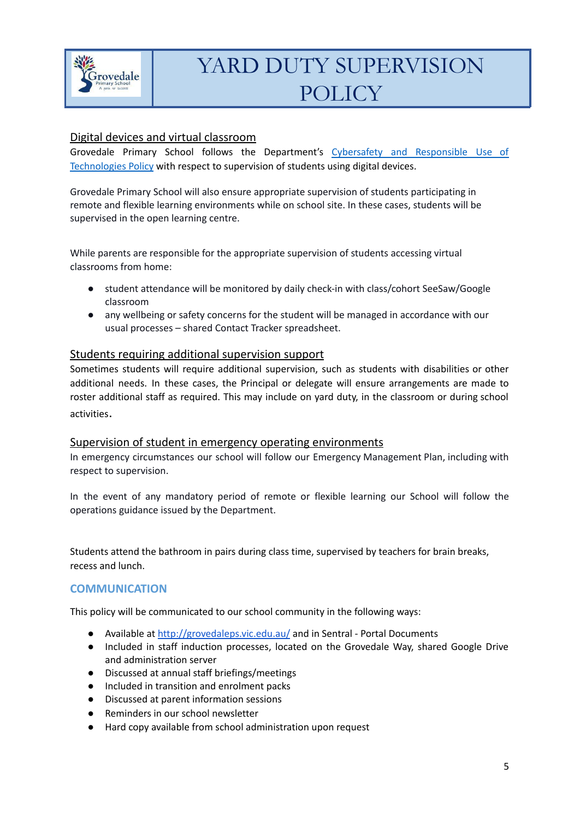

# Digital devices and virtual classroom

Grovedale Primary School follows the Department's Cybersafety and [Responsible](https://www2.education.vic.gov.au/pal/cybersafety/policy) Use of [Technologies](https://www2.education.vic.gov.au/pal/cybersafety/policy) Policy with respect to supervision of students using digital devices.

Grovedale Primary School will also ensure appropriate supervision of students participating in remote and flexible learning environments while on school site. In these cases, students will be supervised in the open learning centre.

While parents are responsible for the appropriate supervision of students accessing virtual classrooms from home:

- student attendance will be monitored by daily check-in with class/cohort SeeSaw/Google classroom
- any wellbeing or safety concerns for the student will be managed in accordance with our usual processes – shared Contact Tracker spreadsheet.

## Students requiring additional supervision support

Sometimes students will require additional supervision, such as students with disabilities or other additional needs. In these cases, the Principal or delegate will ensure arrangements are made to roster additional staff as required. This may include on yard duty, in the classroom or during school activities.

### Supervision of student in emergency operating environments

In emergency circumstances our school will follow our Emergency Management Plan, including with respect to supervision.

In the event of any mandatory period of remote or flexible learning our School will follow the operations guidance issued by the Department.

Students attend the bathroom in pairs during class time, supervised by teachers for brain breaks, recess and lunch.

### **COMMUNICATION**

This policy will be communicated to our school community in the following ways:

- Available at <http://grovedaleps.vic.edu.au/> and in Sentral Portal Documents
- Included in staff induction processes, located on the Grovedale Way, shared Google Drive and administration server
- Discussed at annual staff briefings/meetings
- Included in transition and enrolment packs
- Discussed at parent information sessions
- Reminders in our school newsletter
- Hard copy available from school administration upon request